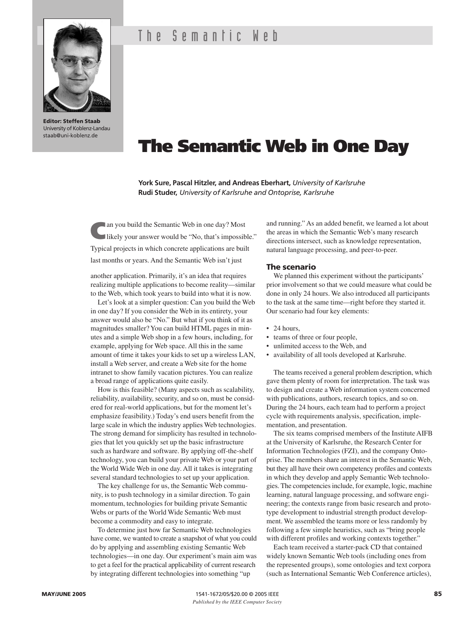

**Editor: Steffen Staab** University of Koblenz-Landau staab@uni-koblenz.de

## The Semantic Web

# **The Semantic Web in One Day**

**York Sure, Pascal Hitzler, and Andreas Eberhart,** *University of Karlsruhe* **Rudi Studer,** *University of Karlsruhe and Ontoprise, Karlsruhe*

**C**an you build the Semantic Web in one day? Most<br>likely your answer would be "No, that's impossible." Typical projects in which concrete applications are built last months or years. And the Semantic Web isn't just

another application. Primarily, it's an idea that requires realizing multiple applications to become reality—similar to the Web, which took years to build into what it is now.

Let's look at a simpler question: Can you build the Web in one day? If you consider the Web in its entirety, your answer would also be "No." But what if you think of it as magnitudes smaller? You can build HTML pages in minutes and a simple Web shop in a few hours, including, for example, applying for Web space. All this in the same amount of time it takes your kids to set up a wireless LAN, install a Web server, and create a Web site for the home intranet to show family vacation pictures. You can realize a broad range of applications quite easily.

How is this feasible? (Many aspects such as scalability, reliability, availability, security, and so on, must be considered for real-world applications, but for the moment let's emphasize feasibility.) Today's end users benefit from the large scale in which the industry applies Web technologies. The strong demand for simplicity has resulted in technologies that let you quickly set up the basic infrastructure such as hardware and software. By applying off-the-shelf technology, you can build your private Web or your part of the World Wide Web in one day. All it takes is integrating several standard technologies to set up your application.

The key challenge for us, the Semantic Web community, is to push technology in a similar direction. To gain momentum, technologies for building private Semantic Webs or parts of the World Wide Semantic Web must become a commodity and easy to integrate.

To determine just how far Semantic Web technologies have come, we wanted to create a snapshot of what you could do by applying and assembling existing Semantic Web technologies—in one day. Our experiment's main aim was to get a feel for the practical applicability of current research by integrating different technologies into something "up

and running." As an added benefit, we learned a lot about the areas in which the Semantic Web's many research directions intersect, such as knowledge representation, natural language processing, and peer-to-peer.

#### **The scenario**

We planned this experiment without the participants' prior involvement so that we could measure what could be done in only 24 hours. We also introduced all participants to the task at the same time—right before they started it. Our scenario had four key elements:

- 24 hours,
- teams of three or four people,
- unlimited access to the Web, and
- availability of all tools developed at Karlsruhe.

The teams received a general problem description, which gave them plenty of room for interpretation. The task was to design and create a Web information system concerned with publications, authors, research topics, and so on. During the 24 hours, each team had to perform a project cycle with requirements analysis, specification, implementation, and presentation.

The six teams comprised members of the Institute AIFB at the University of Karlsruhe, the Research Center for Information Technologies (FZI), and the company Ontoprise. The members share an interest in the Semantic Web, but they all have their own competency profiles and contexts in which they develop and apply Semantic Web technologies. The competencies include, for example, logic, machine learning, natural language processing, and software engineering; the contexts range from basic research and prototype development to industrial strength product development. We assembled the teams more or less randomly by following a few simple heuristics, such as "bring people with different profiles and working contexts together."

Each team received a starter-pack CD that contained widely known Semantic Web tools (including ones from the represented groups), some ontologies and text corpora (such as International Semantic Web Conference articles),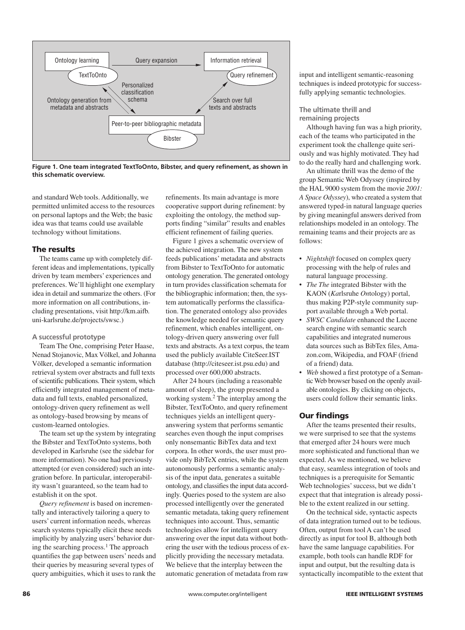

**Figure 1. One team integrated TextToOnto, Bibster, and query refinement, as shown in this schematic overview.**

and standard Web tools. Additionally, we permitted unlimited access to the resources on personal laptops and the Web; the basic idea was that teams could use available technology without limitations.

#### **The results**

The teams came up with completely different ideas and implementations, typically driven by team members' experiences and preferences. We'll highlight one exemplary idea in detail and summarize the others. (For more information on all contributions, including presentations, visit http://km.aifb. uni-karlsruhe.de/projects/swsc.)

#### **A successful prototype**

Team The One, comprising Peter Haase, Nenad Stojanovic, Max Völkel, and Johanna Völker, developed a semantic information retrieval system over abstracts and full texts of scientific publications. Their system, which efficiently integrated management of metadata and full texts, enabled personalized, ontology-driven query refinement as well as ontology-based browsing by means of custom-learned ontologies.

The team set up the system by integrating the Bibster and TextToOnto systems, both developed in Karlsruhe (see the sidebar for more information). No one had previously attempted (or even considered) such an integration before. In particular, interoperability wasn't guaranteed, so the team had to establish it on the spot.

*Query refinement* is based on incrementally and interactively tailoring a query to users' current information needs, whereas search systems typically elicit these needs implicitly by analyzing users' behavior during the searching process.<sup>1</sup> The approach quantifies the gap between users' needs and their queries by measuring several types of query ambiguities, which it uses to rank the

refinements. Its main advantage is more cooperative support during refinement: by exploiting the ontology, the method supports finding "similar" results and enables efficient refinement of failing queries.

Figure 1 gives a schematic overview of the achieved integration. The new system feeds publications' metadata and abstracts from Bibster to TextToOnto for automatic ontology generation. The generated ontology in turn provides classification schemata for the bibliographic information; then, the system automatically performs the classification. The generated ontology also provides the knowledge needed for semantic query refinement, which enables intelligent, ontology-driven query answering over full texts and abstracts. As a text corpus, the team used the publicly available CiteSeer.IST database (http://citeseer.ist.psu.edu) and processed over 600,000 abstracts.

After 24 hours (including a reasonable amount of sleep), the group presented a working system.<sup>2</sup> The interplay among the Bibster, TextToOnto, and query refinement techniques yields an intelligent queryanswering system that performs semantic searches even though the input comprises only nonsemantic BibTex data and text corpora. In other words, the user must provide only BibTeX entries, while the system autonomously performs a semantic analysis of the input data, generates a suitable ontology, and classifies the input data accordingly. Queries posed to the system are also processed intelligently over the generated semantic metadata, taking query refinement techniques into account. Thus, semantic technologies allow for intelligent query answering over the input data without bothering the user with the tedious process of explicitly providing the necessary metadata. We believe that the interplay between the automatic generation of metadata from raw

input and intelligent semantic-reasoning techniques is indeed prototypic for successfully applying semantic technologies.

**The ultimate thrill and remaining projects**

Although having fun was a high priority, each of the teams who participated in the experiment took the challenge quite seriously and was highly motivated. They had to do the really hard and challenging work.

An ultimate thrill was the demo of the group Semantic Web Odyssey (inspired by the HAL 9000 system from the movie *2001: A Space Odyssey*), who created a system that answered typed-in natural language queries by giving meaningful answers derived from relationships modeled in an ontology. The remaining teams and their projects are as follows:

- *Nightshift* focused on complex query processing with the help of rules and natural language processing.
- *The The* integrated Bibster with the KAON (*Ka*rlsruhe *On*tology) portal, thus making P2P-style community support available through a Web portal.
- *SWSC Candidate* enhanced the Lucene search engine with semantic search capabilities and integrated numerous data sources such as BibTex files, Amazon.com, Wikipedia, and FOAF (friend of a friend) data.
- *Web* showed a first prototype of a Semantic Web browser based on the openly available ontologies. By clicking on objects, users could follow their semantic links.

#### **Our findings**

After the teams presented their results, we were surprised to see that the systems that emerged after 24 hours were much more sophisticated and functional than we expected. As we mentioned, we believe that easy, seamless integration of tools and techniques is a prerequisite for Semantic Web technologies' success, but we didn't expect that that integration is already possible to the extent realized in our setting.

On the technical side, syntactic aspects of data integration turned out to be tedious. Often, output from tool A can't be used directly as input for tool B, although both have the same language capabilities. For example, both tools can handle RDF for input and output, but the resulting data is syntactically incompatible to the extent that